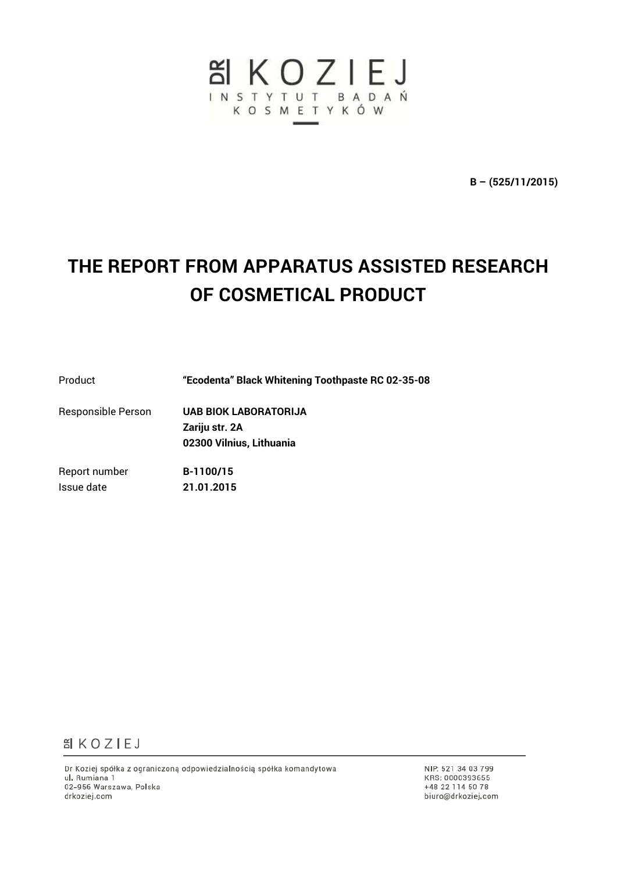

**B – (525/11/2015)**

# **THE REPORT FROM APPARATUS ASSISTED RESEARCH OF COSMETICAL PRODUCT**

| "Ecodenta" Black Whitening Toothpaste RC 02-35-08                          |
|----------------------------------------------------------------------------|
| <b>UAB BIOK LABORATORIJA</b><br>Zariju str. 2A<br>02300 Vilnius, Lithuania |
| B-1100/15<br>21.01.2015                                                    |
|                                                                            |

# **EXCZIEJ**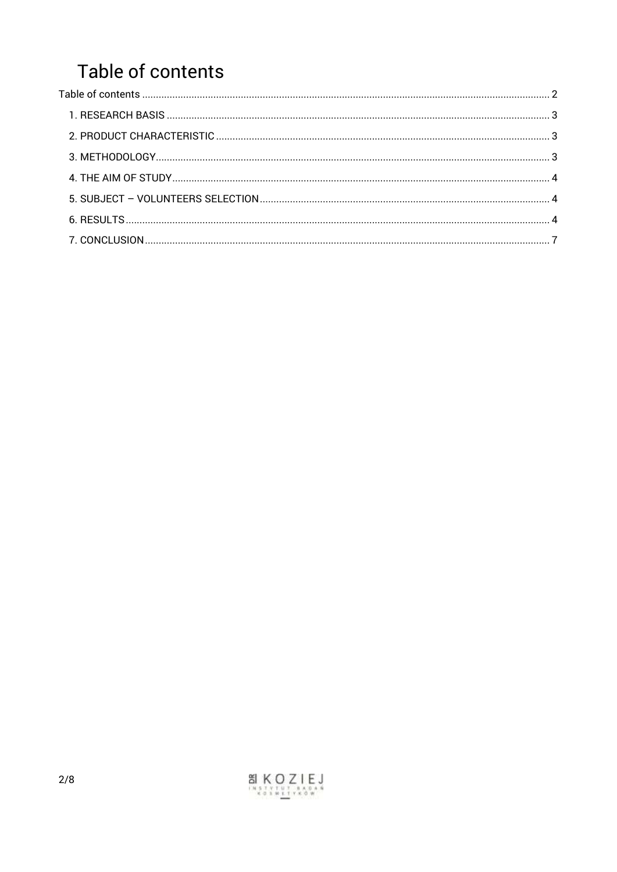# <span id="page-1-0"></span>Table of contents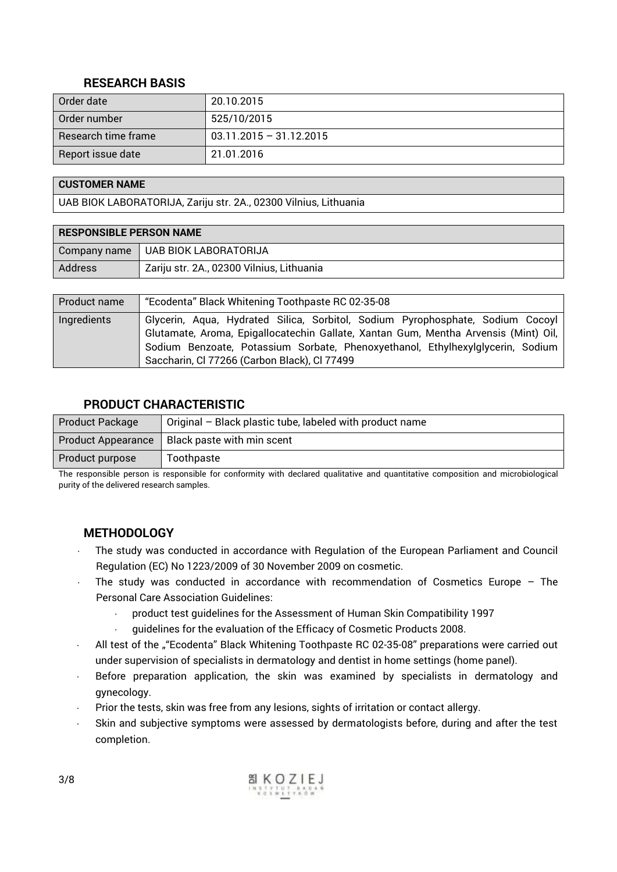#### **RESEARCH BASIS**

<span id="page-2-0"></span>

| Order date          | 20.10.2015                |
|---------------------|---------------------------|
| Order number        | 525/10/2015               |
| Research time frame | $03.11.2015 - 31.12.2015$ |
| Report issue date   | 21.01.2016                |

#### **CUSTOMER NAME**

UAB BIOK LABORATORIJA, Zariju str. 2A., 02300 Vilnius, Lithuania

| <b>RESPONSIBLE PERSON NAME</b> |                                           |  |  |  |  |
|--------------------------------|-------------------------------------------|--|--|--|--|
| Company name                   | l UAB BIOK LABORATORIJA                   |  |  |  |  |
| Address                        | Zariju str. 2A., 02300 Vilnius, Lithuania |  |  |  |  |

| Product name | "Ecodenta" Black Whitening Toothpaste RC 02-35-08                                                                                                                                                                                                                                                       |
|--------------|---------------------------------------------------------------------------------------------------------------------------------------------------------------------------------------------------------------------------------------------------------------------------------------------------------|
| Ingredients  | Glycerin, Aqua, Hydrated Silica, Sorbitol, Sodium Pyrophosphate, Sodium Cocoyl<br>Glutamate, Aroma, Epigallocatechin Gallate, Xantan Gum, Mentha Arvensis (Mint) Oil,<br>Sodium Benzoate, Potassium Sorbate, Phenoxyethanol, Ethylhexylglycerin, Sodium<br>Saccharin, Cl 77266 (Carbon Black), Cl 77499 |

## **PRODUCT CHARACTERISTIC**

<span id="page-2-1"></span>

| <b>Product Package</b>    | Original - Black plastic tube, labeled with product name |
|---------------------------|----------------------------------------------------------|
| <b>Product Appearance</b> | Black paste with min scent                               |
| Product purpose           | Toothpaste                                               |

The responsible person is responsible for conformity with declared qualitative and quantitative composition and microbiological purity of the delivered research samples.

## <span id="page-2-2"></span>**METHODOLOGY**

- The study was conducted in accordance with Regulation of the European Parliament and Council Regulation (EC) No 1223/2009 of 30 November 2009 on cosmetic.
- The study was conducted in accordance with recommendation of Cosmetics Europe The Personal Care Association Guidelines:
	- product test guidelines for the Assessment of Human Skin Compatibility 1997
	- guidelines for the evaluation of the Efficacy of Cosmetic Products 2008.
- All test of the ""Ecodenta" Black Whitening Toothpaste RC 02-35-08" preparations were carried out under supervision of specialists in dermatology and dentist in home settings (home panel).
- Before preparation application, the skin was examined by specialists in dermatology and gynecology.
- Prior the tests, skin was free from any lesions, sights of irritation or contact allergy.
- Skin and subjective symptoms were assessed by dermatologists before, during and after the test completion.

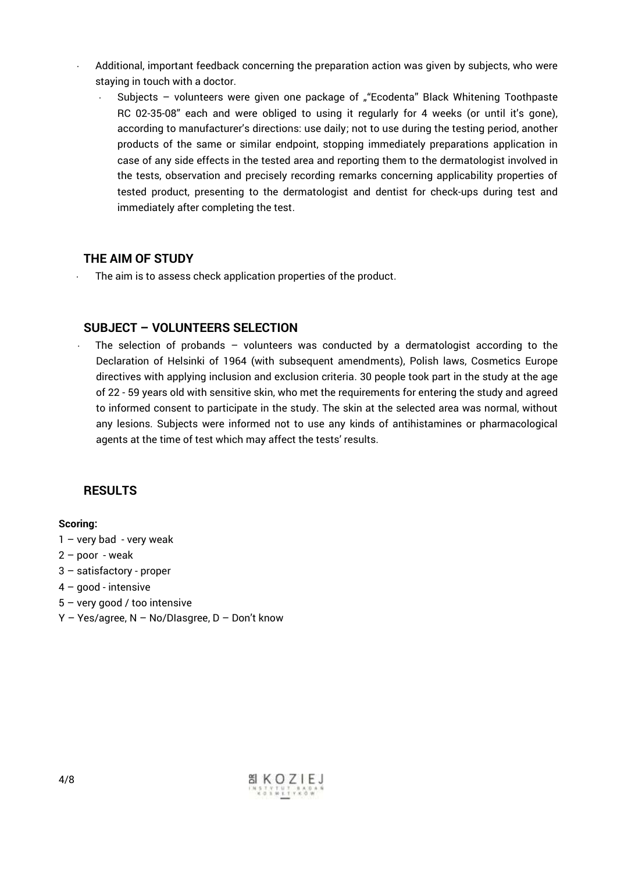- Additional, important feedback concerning the preparation action was given by subjects, who were staying in touch with a doctor.
	- Subjects volunteers were given one package of ""Ecodenta" Black Whitening Toothpaste RC 02-35-08" each and were obliged to using it regularly for 4 weeks (or until it's gone), according to manufacturer's directions: use daily; not to use during the testing period, another products of the same or similar endpoint, stopping immediately preparations application in case of any side effects in the tested area and reporting them to the dermatologist involved in the tests, observation and precisely recording remarks concerning applicability properties of tested product, presenting to the dermatologist and dentist for check-ups during test and immediately after completing the test.

#### <span id="page-3-0"></span>**THE AIM OF STUDY**

The aim is to assess check application properties of the product.

#### <span id="page-3-1"></span>**SUBJECT – VOLUNTEERS SELECTION**

 The selection of probands – volunteers was conducted by a dermatologist according to the Declaration of Helsinki of 1964 (with subsequent amendments), Polish laws, Cosmetics Europe directives with applying inclusion and exclusion criteria. 30 people took part in the study at the age of 22 - 59 years old with sensitive skin, who met the requirements for entering the study and agreed to informed consent to participate in the study. The skin at the selected area was normal, without any lesions. Subjects were informed not to use any kinds of antihistamines or pharmacological agents at the time of test which may affect the tests' results.

## <span id="page-3-2"></span>**RESULTS**

#### **Scoring:**

- $1 -$  very bad very weak
- $2$  poor weak
- 3 satisfactory proper
- 4 good intensive
- 5 very good / too intensive
- Y Yes/agree, N No/DIasgree, D Don't know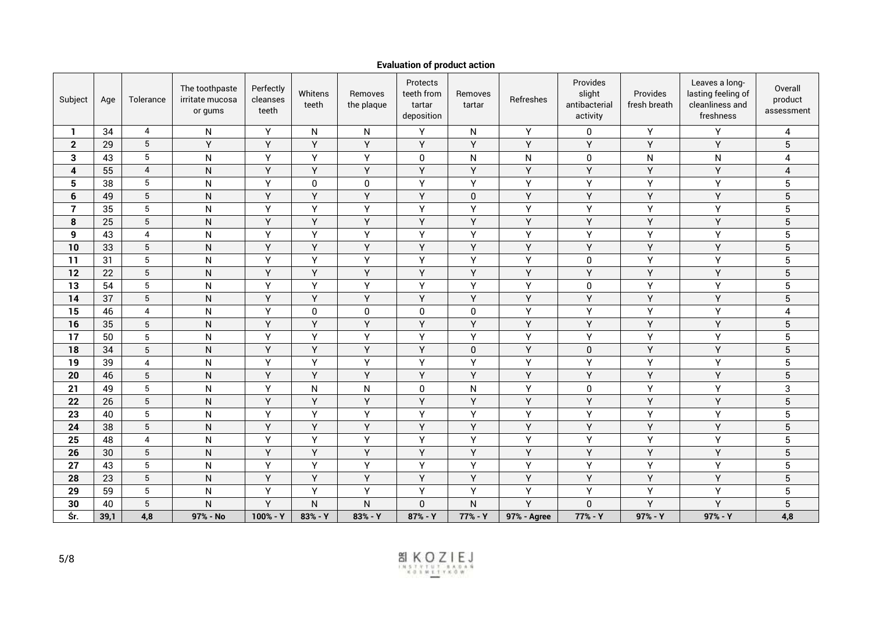#### **Evaluation of product action**

| Subject        | Age  | Tolerance       | The toothpaste<br>irritate mucosa<br>or gums | Perfectly<br>cleanses<br>teeth | Whitens<br>teeth | Removes<br>the plaque | Protects<br>teeth from<br>tartar<br>deposition | Removes<br>tartar | Refreshes    | Provides<br>slight<br>antibacterial<br>activity | Provides<br>fresh breath | Leaves a long-<br>lasting feeling of<br>cleanliness and<br>freshness | Overall<br>product<br>assessment |
|----------------|------|-----------------|----------------------------------------------|--------------------------------|------------------|-----------------------|------------------------------------------------|-------------------|--------------|-------------------------------------------------|--------------------------|----------------------------------------------------------------------|----------------------------------|
| $\mathbf{1}$   | 34   | 4               | ${\sf N}$                                    | Y                              | ${\sf N}$        | ${\sf N}$             | Υ                                              | N                 | Υ            | 0                                               | Υ                        | Y                                                                    | 4                                |
| $\mathbf{2}$   | 29   | 5               | Y                                            | $\overline{Y}$                 | $\overline{Y}$   | Y                     | Y                                              | $\overline{Y}$    | Y            | Y                                               | Υ                        | Y                                                                    | 5                                |
| $\mathbf{3}$   | 43   | $\sqrt{5}$      | ${\sf N}$                                    | Y                              | Y                | Y                     | $\pmb{0}$                                      | N                 | $\mathsf{N}$ | 0                                               | N                        | N                                                                    | 4                                |
| 4              | 55   | 4               | ${\sf N}$                                    | Y                              | Y                | Y                     | Υ                                              | Υ                 | Υ            | Υ                                               | Υ                        | Υ                                                                    | 4                                |
| 5              | 38   | 5               | $\mathsf{N}$                                 | Y                              | $\pmb{0}$        | $\pmb{0}$             | Υ                                              | Y                 | Υ            | Υ                                               | Υ                        | Y                                                                    | $\mathbf 5$                      |
| 6              | 49   | $\sqrt{5}$      | N                                            | Y                              | Y                | Υ                     | Υ                                              | $\pmb{0}$         | Υ            | Υ                                               | Υ                        | Y                                                                    | 5                                |
| $\overline{7}$ | 35   | $\overline{5}$  | N                                            | Y                              | Y                | Y                     | Y                                              | Y                 | Y            | Y                                               | Y                        | Y                                                                    | 5                                |
| 8              | 25   | $5\phantom{.0}$ | $\mathsf{N}$                                 | Y                              | Y                | Y                     | Y                                              | Y                 | Y            | Y                                               | Y                        | Y                                                                    | 5                                |
| 9              | 43   | 4               | $\mathsf{N}$                                 | Y                              | Y                | Y                     | Y                                              | Y                 | Y            | Y                                               | Υ                        | Y                                                                    | 5                                |
| 10             | 33   | $\sqrt{5}$      | ${\sf N}$                                    | Y                              | $\mathsf{Y}$     | Y                     | Y                                              | Y                 | Υ            | Υ                                               | Y                        | Y                                                                    | 5                                |
| 11             | 31   | $\sqrt{5}$      | $\overline{\mathsf{N}}$                      | Y                              | Y                | Y                     | Υ                                              | Y                 | Υ            | $\pmb{0}$                                       | Υ                        | Y                                                                    | 5                                |
| 12             | 22   | 5               | N                                            | Y                              | Y                | Y                     | Y                                              | Y                 | Y            | Υ                                               | Y                        | Y                                                                    | 5                                |
| 13             | 54   | 5               | N                                            | Y                              | Y                | Y                     | Y                                              | Y                 | Υ            | $\mathbf 0$                                     | Υ                        | Y                                                                    | 5                                |
| 14             | 37   | $5\phantom{.0}$ | $\mathsf{N}$                                 | Y                              | Y                | Y                     | Y                                              | Y                 | Y            | Υ                                               | Y                        | Y                                                                    | $\overline{5}$                   |
| 15             | 46   | $\overline{4}$  | N                                            | Y                              | $\mathbf 0$      | $\mathbf 0$           | $\mathbf 0$                                    | $\mathbf 0$       | Υ            | Y                                               | Y                        | Y                                                                    | 4                                |
| 16             | 35   | $5\phantom{.0}$ | $\mathsf{N}$                                 | Y                              | Y                | Y                     | Υ                                              | Y                 | Y            | Υ                                               | Υ                        | Y                                                                    | 5                                |
| 17             | 50   | $\overline{5}$  | $\mathsf{N}$                                 | Y                              | Y                | Y                     | Y                                              | Y                 | Y            | Y                                               | Y                        | Y                                                                    | 5                                |
| 18             | 34   | $5\phantom{.0}$ | ${\sf N}$                                    | Y                              | Y                | Y                     | Υ                                              | $\mathbf 0$       | Υ            | $\pmb{0}$                                       | Υ                        | Y                                                                    | 5                                |
| 19             | 39   | 4               | N                                            | Y                              | Y                | Y                     | Y                                              | Y                 | Υ            | Υ                                               | Υ                        | Y                                                                    | $\overline{5}$                   |
| 20             | 46   | $5\phantom{.0}$ | $\mathsf{N}$                                 | Y                              | Y                | Y                     | Υ                                              | Y                 | Υ            | Υ                                               | Υ                        | Y                                                                    | 5                                |
| 21             | 49   | $\overline{5}$  | $\overline{\mathsf{N}}$                      | Y                              | N                | ${\sf N}$             | $\pmb{0}$                                      | N                 | Y            | $\pmb{0}$                                       | Y                        | Y                                                                    | $\ensuremath{\mathsf{3}}$        |
| 22             | 26   | $\overline{5}$  | N                                            | Y                              | Y                | Y                     | Y                                              | Y                 | Y            | Y                                               | Y                        | Y                                                                    | 5                                |
| 23             | 40   | 5               | N                                            | Y                              | Y                | Y                     | Y                                              | Y                 | Y            | Y                                               | Y                        | Y                                                                    | $\overline{5}$                   |
| 24             | 38   | $\overline{5}$  | $\overline{\mathsf{N}}$                      | Y                              | Y                | Y                     | Υ                                              | Y                 | Υ            | Y                                               | Υ                        | Y                                                                    | 5                                |
| 25             | 48   | $\overline{4}$  | N                                            | Y                              | Y                | Y                     | Y                                              | Y                 | Υ            | Y                                               | Y                        | Y                                                                    | $\mathbf 5$                      |
| 26             | 30   | 5               | N                                            | Y                              | Y                | Y                     | Υ                                              | Y                 | Υ            | Υ                                               | Υ                        | Υ                                                                    | $\overline{5}$                   |
| 27             | 43   | 5               | N                                            | Y                              | Y                | Υ                     | Υ                                              | Y                 | Υ            | Y                                               | Υ                        | Υ                                                                    | $\overline{5}$                   |
| 28             | 23   | 5               | $\mathsf{N}$                                 | Y                              | Y                | Y                     | Y                                              | Y                 | Y            | Y                                               | Y                        | Y                                                                    | 5                                |
| 29             | 59   | 5               | N                                            | Y                              | Y                | Y                     | Y                                              | Y                 | Υ            | Υ                                               | Υ                        | Y                                                                    | 5                                |
| 30             | 40   | 5               | N                                            | Y                              | N                | N                     | $\mathbf 0$                                    | N                 | Y            | $\mathbf{0}$                                    | Y                        | Y                                                                    | $\overline{5}$                   |
| Śr.            | 39,1 | 4,8             | 97% - No                                     | 100% - Y                       | $83% - Y$        | 83% - Y               | 87% - Y                                        | 77% - Y           | 97% - Agree  | 77% - Y                                         | 97% - Y                  | 97% - Y                                                              | 4,8                              |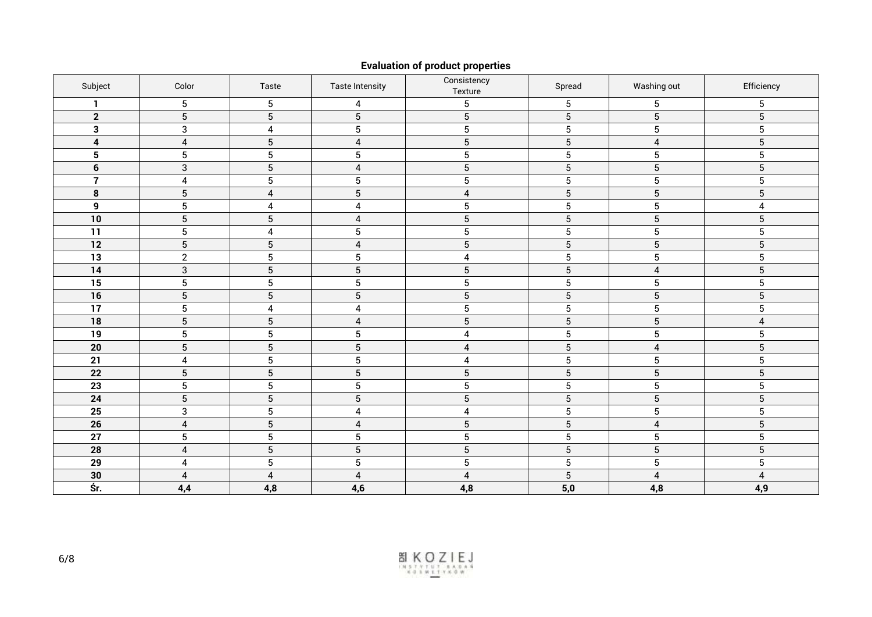#### **Evaluation of product properties**

| Subject        | Color                   | Taste                   | <b>Taste Intensity</b>  | Consistency<br>Texture  | Spread         | Washing out    | Efficiency     |
|----------------|-------------------------|-------------------------|-------------------------|-------------------------|----------------|----------------|----------------|
| ı              | 5                       | $\,$ 5 $\,$             | 4                       | 5                       | $\sqrt{5}$     | 5              | 5              |
| $\mathbf{2}$   | 5                       | 5                       | $\overline{5}$          | $\overline{5}$          | $\overline{5}$ | 5              | $\overline{5}$ |
| 3              | $\mathsf 3$             | 4                       | $\sqrt{5}$              | $\overline{5}$          | $\sqrt{5}$     | 5              | $\overline{5}$ |
| 4              | $\overline{4}$          | 5                       | $\overline{\mathbf{4}}$ | $\overline{5}$          | $\overline{5}$ | 4              | $\overline{5}$ |
| 5              | 5                       | 5                       | $\overline{5}$          | $\sqrt{5}$              | $\sqrt{5}$     | 5              | $\overline{5}$ |
| 6              | $\mathbf{3}$            | 5                       | 4                       | $\overline{5}$          | $\overline{5}$ | 5              | $\overline{5}$ |
| $\overline{7}$ | $\overline{\mathbf{4}}$ | 5                       | $\overline{5}$          | $\sqrt{5}$              | $\sqrt{5}$     | 5              | $\overline{5}$ |
| 8              | $\overline{5}$          | 4                       | $\overline{5}$          | 4                       | $\overline{5}$ | 5              | $\overline{5}$ |
| $\mathbf{9}$   | 5                       | 4                       | 4                       | $\sqrt{5}$              | $\sqrt{5}$     | 5              | $\overline{4}$ |
| 10             | 5                       | 5                       | 4                       | $\overline{5}$          | $\overline{5}$ | 5              | $\overline{5}$ |
| 11             | 5                       | $\overline{\mathbf{4}}$ | $\overline{5}$          | $\overline{5}$          | $\overline{5}$ | 5              | $\overline{5}$ |
| 12             | 5                       | 5                       | 4                       | $\sqrt{5}$              | $\overline{5}$ | 5              | $\overline{5}$ |
| 13             | $\overline{2}$          | 5                       | 5                       | $\overline{\mathbf{4}}$ | $\overline{5}$ | 5              | $\overline{5}$ |
| 14             | $\mathbf{3}$            | 5                       | $\overline{5}$          | $\sqrt{5}$              | $\sqrt{5}$     | $\sqrt{4}$     | $\overline{5}$ |
| 15             | $\overline{5}$          | 5                       | $\overline{5}$          | $\sqrt{5}$              | 5              | 5              | $\overline{5}$ |
| 16             | 5                       | 5                       | $\overline{5}$          | $\overline{5}$          | $\overline{5}$ | 5              | $\overline{5}$ |
| 17             | $5\phantom{.0}$         | 4                       | 4                       | $\sqrt{5}$              | $\overline{5}$ | 5              | $\sqrt{5}$     |
| 18             | $\overline{5}$          | $\overline{5}$          | $\overline{\mathbf{4}}$ | $\overline{5}$          | $\overline{5}$ | 5              | $\overline{4}$ |
| 19             | $\overline{5}$          | 5                       | $\overline{5}$          | $\overline{\mathbf{4}}$ | $\overline{5}$ | 5              | $\overline{5}$ |
| 20             | 5                       | $\overline{5}$          | $\overline{5}$          | $\overline{\mathbf{4}}$ | $\sqrt{5}$     | 4              | $\overline{5}$ |
| 21             | $\overline{\mathbf{4}}$ | 5                       | $\overline{5}$          | $\pmb{4}$               | $\sqrt{5}$     | 5              | $\overline{5}$ |
| 22             | $\overline{5}$          | 5                       | $\overline{5}$          | $\sqrt{5}$              | $\overline{5}$ | 5              | $\overline{5}$ |
| 23             | $\overline{5}$          | 5                       | $\overline{5}$          | $\sqrt{5}$              | $\sqrt{5}$     | 5              | $\overline{5}$ |
| 24             | 5                       | $\overline{5}$          | $\overline{5}$          | $\sqrt{5}$              | $\sqrt{5}$     | 5              | $\overline{5}$ |
| 25             | $\mathsf 3$             | 5                       | $\overline{\mathbf{4}}$ | $\overline{\mathbf{4}}$ | $\sqrt{5}$     | 5              | $\overline{5}$ |
| 26             | $\pmb{4}$               | $\overline{5}$          | 4                       | $\overline{5}$          | $\overline{5}$ | 4              | $\overline{5}$ |
| 27             | 5                       | 5                       | $\overline{5}$          | $\overline{5}$          | $\sqrt{5}$     | 5              | 5              |
| 28             | $\pmb{4}$               | $\overline{5}$          | $\sqrt{5}$              | $\overline{5}$          | $\sqrt{5}$     | 5              | $\overline{5}$ |
| 29             | 4                       | 5                       | 5                       | $\sqrt{5}$              | 5              | 5              | $\overline{5}$ |
| 30             | $\overline{\mathbf{4}}$ | $\overline{\mathbf{4}}$ | 4                       | $\overline{4}$          | $\sqrt{5}$     | $\overline{4}$ | $\overline{4}$ |
| Śr.            | 4,4                     | 4,8                     | 4,6                     | 4,8                     | 5,0            | 4,8            | 4,9            |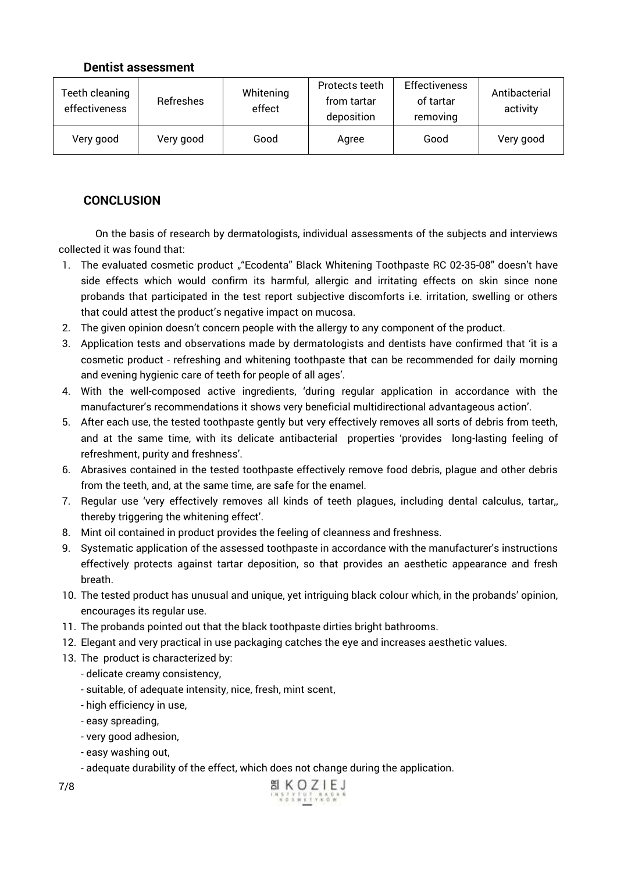#### **Dentist assessment**

<span id="page-6-0"></span>

| Teeth cleaning<br>effectiveness | Refreshes | Whitening<br>effect | Protects teeth<br>from tartar<br>deposition | <b>Effectiveness</b><br>of tartar<br>removing | Antibacterial<br>activity |
|---------------------------------|-----------|---------------------|---------------------------------------------|-----------------------------------------------|---------------------------|
| Very good                       | Very good | Good                | Agree                                       | Good                                          | Very good                 |

# **CONCLUSION**

On the basis of research by dermatologists, individual assessments of the subjects and interviews collected it was found that:

- 1. The evaluated cosmetic product ""Ecodenta" Black Whitening Toothpaste RC 02-35-08" doesn't have side effects which would confirm its harmful, allergic and irritating effects on skin since none probands that participated in the test report subjective discomforts i.e. irritation, swelling or others that could attest the product's negative impact on mucosa.
- 2. The given opinion doesn't concern people with the allergy to any component of the product.
- 3. Application tests and observations made by dermatologists and dentists have confirmed that 'it is a cosmetic product - refreshing and whitening toothpaste that can be recommended for daily morning and evening hygienic care of teeth for people of all ages'.
- 4. With the well-composed active ingredients, 'during regular application in accordance with the manufacturer's recommendations it shows very beneficial multidirectional advantageous action'.
- 5. After each use, the tested toothpaste gently but very effectively removes all sorts of debris from teeth, and at the same time, with its delicate antibacterial properties 'provides long-lasting feeling of refreshment, purity and freshness'.
- 6. Abrasives contained in the tested toothpaste effectively remove food debris, plague and other debris from the teeth, and, at the same time, are safe for the enamel.
- 7. Regular use 'very effectively removes all kinds of teeth plagues, including dental calculus, tartar,, thereby triggering the whitening effect'.
- 8. Mint oil contained in product provides the feeling of cleanness and freshness.
- 9. Systematic application of the assessed toothpaste in accordance with the manufacturer's instructions effectively protects against tartar deposition, so that provides an aesthetic appearance and fresh breath.
- 10. The tested product has unusual and unique, yet intriguing black colour which, in the probands' opinion, encourages its regular use.
- 11. The probands pointed out that the black toothpaste dirties bright bathrooms.
- 12. Elegant and very practical in use packaging catches the eye and increases aesthetic values.
- 13. The product is characterized by:
	- delicate creamy consistency,
	- suitable, of adequate intensity, nice, fresh, mint scent,
	- high efficiency in use,
	- easy spreading,
	- very good adhesion,
	- easy washing out,
	- adequate durability of the effect, which does not change during the application.